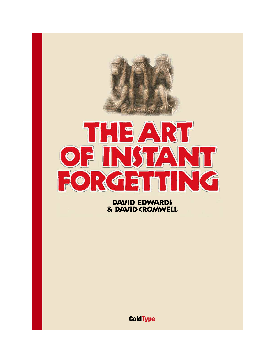

David Edwards & David Cromwell

**ColdType**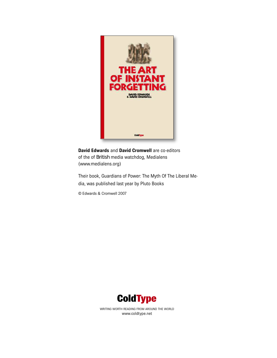

**David Edwards** and **David Cromwell** are co-editors of the of British media watchdog, Medialens (www.medialens.org)

Their book, Guardians of Power: The Myth Of The Liberal Media, was published last year by Pluto Books

© Edwards & Cromwell 2007



WRITING WORTH READING FROM AROUND THE WORLD www.coldtype.net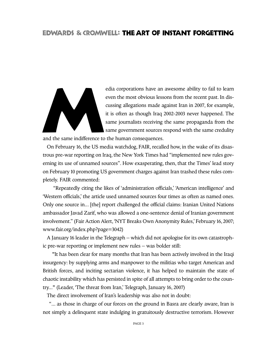edia corporations have an awesome ability to fail to learn<br>even the most obvious lessons from the recent past. In dis-<br>cussing allegations made against Iran in 2007, for example,<br>it is often as though Iraq 2002-2003 never even the most obvious lessons from the recent past. In discussing allegations made against Iran in 2007, for example, it is often as though Iraq 2002-2003 never happened. The same journalists receiving the same propaganda from the same government sources respond with the same credulity

and the same indifference to the human consequences.

On February 16, the US media watchdog, FAIR, recalled how, in the wake of its disastrous pre-war reporting on Iraq, the New York Times had "implemented new rules governing its use of unnamed sources". How exasperating, then, that the Times' lead story on February 10 promoting US government charges against Iran trashed these rules completely. FAIR commented:

"Repeatedly citing the likes of 'administration officials,' 'American intelligence' and 'Western officials,' the article used unnamed sources four times as often as named ones. Only one source in... [the] report challenged the official claims: Iranian United Nations ambassador Javad Zarif, who was allowed a one-sentence denial of Iranian government involvement." (Fair Action Alert, 'NYT Breaks Own Anonymity Rules,' February 16, 2007; www.fair.org/index.php?page=3042)

A January 16 leader in the Telegraph – which did not apologise for its own catastrophic pre-war reporting or implement new rules – was bolder still:

"It has been clear for many months that Iran has been actively involved in the Iraqi insurgency: by supplying arms and manpower to the militias who target American and British forces, and inciting sectarian violence, it has helped to maintain the state of chaotic instability which has persisted in spite of all attempts to bring order to the country..." (Leader, 'The threat from Iran,' Telegraph, January 16, 2007)

The direct involvement of Iran's leadership was also not in doubt:

"... as those in charge of our forces on the ground in Basra are clearly aware, Iran is not simply a delinquent state indulging in gratuitously destructive terrorism. However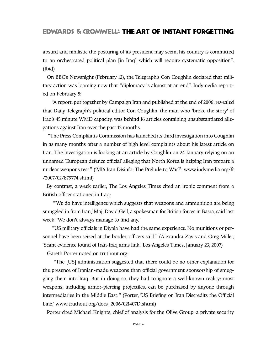absurd and nihilistic the posturing of its president may seem, his country is committed to an orchestrated political plan [in Iraq] which will require systematic opposition". (Ibid)

On BBC's Newsnight (February 12), the Telegraph's Con Coughlin declared that military action was looming now that "diplomacy is almost at an end". Indymedia reported on February 5:

"A report, put together by Campaign Iran and published at the end of 2006, revealed that Daily Telegraph's political editor Con Coughlin, the man who 'broke the story' of Iraq's 45 minute WMD capacity, was behind 16 articles containing unsubstantiated allegations against Iran over the past 12 months.

"The Press Complaints Commission has launched its third investigation into Coughlin in as many months after a number of high level complaints about his latest article on Iran. The investigation is looking at an article by Coughlin on 24 January relying on an unnamed 'European defence official' alleging that North Korea is helping Iran prepare a nuclear weapons test." ('MI6 Iran Disinfo: The Prelude to War?'; www.indymedia.org/fr /2007/02/879774.shtml)

By contrast, a week earlier, The Los Angeles Times cited an ironic comment from a British officer stationed in Iraq:

"'We do have intelligence which suggests that weapons and ammunition are being smuggled in from Iran,' Maj.David Gell, a spokesman for British forces in Basra, said last week. 'We don't always manage to find any.'

"US military officials in Diyala have had the same experience. No munitions or personnel have been seized at the border, officers said." (Alexandra Zavis and Greg Miller, 'Scant evidence found of Iran-Iraq arms link,' Los Angeles Times, January 23, 2007)

Gareth Porter noted on truthout.org:

"The [US] administration suggested that there could be no other explanation for the presence of Iranian-made weapons than official government sponsorship of smuggling them into Iraq. But in doing so, they had to ignore a well-known reality: most weapons, including armor-piercing projectiles, can be purchased by anyone through intermediaries in the Middle East." (Porter, 'US Briefing on Iran Discredits the Official Line,' www.truthout.org/docs\_2006/021407D.shtml)

Porter cited Michael Knights, chief of analysis for the Olive Group, a private security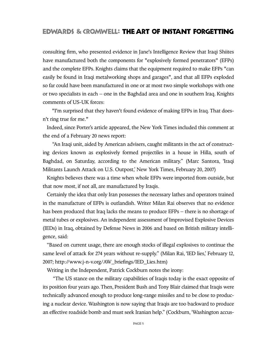consulting firm, who presented evidence in Jane's Intelligence Review that Iraqi Shiites have manufactured both the components for "explosively formed penetrators" (EFPs) and the complete EFPs. Knights claims that the equipment required to make EFPs "can easily be found in Iraqi metalworking shops and garages", and that all EFPs exploded so far could have been manufactured in one or at most two simple workshops with one or two specialists in each – one in the Baghdad area and one in southern Iraq. Knights comments of US-UK forces:

"I'm surprised that they haven't found evidence of making EFPs in Iraq. That doesn't ring true for me."

Indeed, since Porter's article appeared, the New York Times included this comment at the end of a February 20 news report:

"An Iraqi unit, aided by American advisers, caught militants in the act of constructing devices known as explosively formed projectiles in a house in Hilla, south of Baghdad, on Saturday, according to the American military." (Marc Santora, 'Iraqi Militants Launch Attack on U.S. Outpost,' New York Times, February 20, 2007)

Knights believes there was a time when whole EFPs were imported from outside, but that now most, if not all, are manufactured by Iraqis.

Certainly the idea that only Iran possesses the necessary lathes and operators trained in the manufacture of EFPs is outlandish. Writer Milan Rai observes that no evidence has been produced that Iraq lacks the means to produce EFPs – there is no shortage of metal tubes or explosives. An independent assessment of Improvised Explosive Devices (IEDs) in Iraq, obtained by Defense News in 2006 and based on British military intelligence, said:

"Based on current usage, there are enough stocks of illegal explosives to continue the same level of attack for 274 years without re-supply." (Milan Rai, 'IED lies,' February 12, 2007; http://www.j-n-v.org/AW\_briefings/IED\_Lies.htm)

Writing in the Independent, Patrick Cockburn notes the irony:

"The US stance on the military capabilities of Iraqis today is the exact opposite of its position four years ago.Then, President Bush and Tony Blair claimed that Iraqis were technically advanced enough to produce long-range missiles and to be close to producing a nuclear device. Washington is now saying that Iraqis are too backward to produce an effective roadside bomb and must seek Iranian help." (Cockburn, 'Washington accus-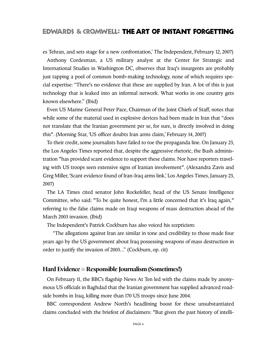es Tehran, and sets stage for a new confrontation,' The Independent, February 12, 2007)

Anthony Cordesman, a US military analyst at the Center for Strategic and International Studies in Washington DC, observes that Iraq's insurgents are probably just tapping a pool of common bomb-making technology, none of which requires special expertise: "There's no evidence that these are supplied by Iran. A lot of this is just technology that is leaked into an informal network. What works in one country gets known elsewhere." (Ibid)

Even US Marine General Peter Pace, Chairman of the Joint Chiefs of Staff, notes that while some of the material used in explosive devices had been made in Iran that "does not translate that the Iranian government per se, for sure, is directly involved in doing this". (Morning Star, 'US officer doubts Iran arms claim,' February 14, 2007)

To their credit, some journalists have failed to toe the propaganda line. On January 23, the Los Angeles Times reported that, despite the aggressive rhetoric, the Bush administration "has provided scant evidence to support these claims. Nor have reporters traveling with US troops seen extensive signs of Iranian involvement". (Alexandra Zavis and Greg Miller, 'Scant evidence found of Iran-Iraq arms link,' Los Angeles Times,January 23, 2007)

The LA Times cited senator John Rockefeller, head of the US Senate Intelligence Committee, who said: "To be quite honest, I'm a little concerned that it's Iraq again," referring to the false claims made on Iraqi weapons of mass destruction ahead of the March 2003 invasion. (Ibid)

The Independent's Patrick Cockburn has also voiced his scepticism:

"The allegations against Iran are similar in tone and credibility to those made four years ago by the US government about Iraq possessing weapons of mass destruction in order to justify the invasion of 2003..." (Cockburn, op. cit)

#### **Hard Evidence = Responsible Journalism (Sometimes!)**

On February 11, the BBC's flagship News At Ten led with the claims made by anonymous US officials in Baghdad that the Iranian government has supplied advanced roadside bombs in Iraq, killing more than 170 US troops since June 2004.

BBC correspondent Andrew North's headlining boost for these unsubstantiated claims concluded with the briefest of disclaimers: "But given the past history of intelli-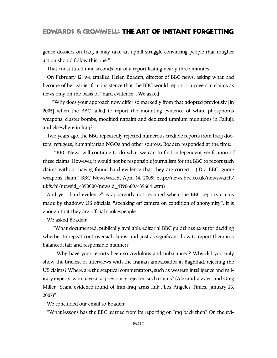gence dossiers on Iraq, it may take an uphill struggle convincing people that tougher action should follow this one."

That constituted nine seconds out of a report lasting nearly three minutes.

On February 12, we emailed Helen Boaden, director of BBC news, asking what had become of her earlier firm insistence that the BBC would report controversial claims as news only on the basis of "hard evidence". We asked:

"Why does your approach now differ so markedly from that adopted previously [in 2005] when the BBC failed to report the mounting evidence of white phosphorus weapons, cluster bombs, modified napalm and depleted uranium munitions in Falluja and elsewhere in Iraq?"

Two years ago, the BBC repeatedly rejected numerous credible reports from Iraqi doctors, refugees, humanitarian NGOs and other sources. Boaden responded at the time:

"BBC News will continue to do what we can to find independent verification of these claims. However, it would not be responsible journalism for the BBC to report such claims without having found hard evidence that they are correct." ('Did BBC ignore weapons claim,' BBC NewsWatch, April 14, 2005; http://news.bbc.co.uk/newswatch/ ukfs/hi/newsid\_4390000/newsid\_4396600/4396641.stm)

And yet "hard evidence" is apparently not required when the BBC reports claims made by shadowy US officials, "speaking off camera on condition of anonymity". It is enough that they are official spokespeople.

We asked Boaden:

"What documented, publically available editorial BBC guidelines exist for deciding whether to repeat controversial claims; and, just as significant, how to report them in a balanced, fair and responsible manner?

"Why have your reports been so credulous and unbalanced? Why did you only show the briefest of interviews with the Iranian ambassador in Baghdad, rejecting the US claims? Where are the sceptical commentators, such as western intelligence and military experts,who have also previously rejected such claims? (Alexandra Zavis and Greg Miller, 'Scant evidence found of Iran-Iraq arms link', Los Angeles Times, January 23, 2007)"

We concluded our email to Boaden:

"What lessons has the BBC learned from its reporting on Iraq back then? On the evi-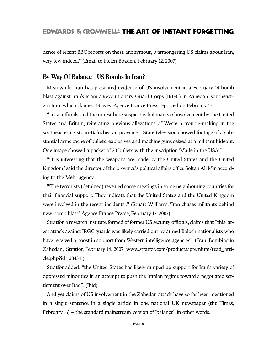dence of recent BBC reports on these anonymous, warmongering US claims about Iran, very few indeed." (Email to Helen Boaden, February 12, 2007)

### **By Way Of Balance – US Bombs In Iran?**

Meanwhile, Iran has presented evidence of US involvement in a February 14 bomb blast against Iran's Islamic Revolutionary Guard Corps (IRGC) in Zahedan, southeastern Iran, which claimed 13 lives. Agence France Press reported on February 17:

"Local officials said the unrest bore suspicious hallmarks of involvement by the United States and Britain, reiterating previous allegations of Western trouble-making in the southeastern Sistuan-Baluchestan province... State television showed footage of a substantial arms cache of bullets, explosives and machine guns seized at a militant hideout. One image showed a packet of 20 bullets with the inscription 'Made in the USA'."

"'It is interesting that the weapons are made by the United States and the United Kingdom,' said the director of the province's political affairs office Soltan Ali Mir, according to the Mehr agency.

"'The terrorists (detained) revealed some meetings in some neighbouring countries for their financial support. They indicate that the United States and the United Kingdom were involved in the recent incidents'." (Stuart Williams, 'Iran chases militants behind new bomb blast,' Agence France Presse, February 17, 2007)

Stratfor, a research institute formed of former US security officials, claims that "this latest attack against IRGC guards was likely carried out by armed Baloch nationalists who have received a boost in support from Western intelligence agencies".('Iran: Bombing in Zahedan,' Stratfor, February 14, 2007; www.stratfor.com/products/premium/read\_article.php?id=284341)

Stratfor added: "the United States has likely ramped up support for Iran's variety of oppressed minorities in an attempt to push the Iranian regime toward a negotiated settlement over Iraq". (Ibid)

And yet claims of US involvement in the Zahedan attack have so far been mentioned in a single sentence in a single article in one national UK newspaper (the Times, February 15) – the standard mainstream version of 'balance', in other words.